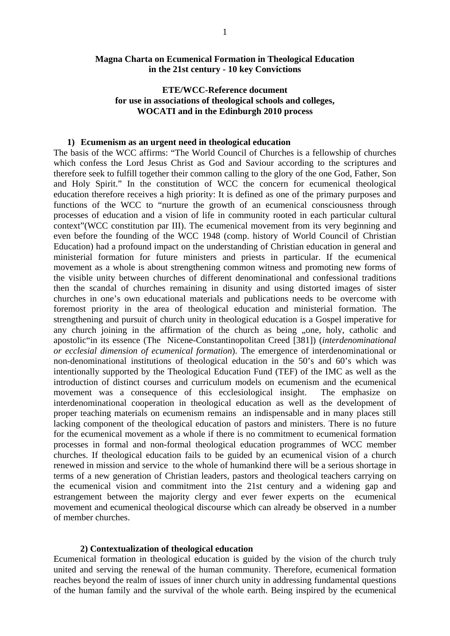# **Magna Charta on Ecumenical Formation in Theological Education in the 21st century - 10 key Convictions**

# **ETE/WCC-Reference document for use in associations of theological schools and colleges, WOCATI and in the Edinburgh 2010 process**

#### **1) Ecumenism as an urgent need in theological education**

The basis of the WCC affirms: "The World Council of Churches is a fellowship of churches which confess the Lord Jesus Christ as God and Saviour according to the scriptures and therefore seek to fulfill together their common calling to the glory of the one God, Father, Son and Holy Spirit." In the constitution of WCC the concern for ecumenical theological education therefore receives a high priority: It is defined as one of the primary purposes and functions of the WCC to "nurture the growth of an ecumenical consciousness through processes of education and a vision of life in community rooted in each particular cultural context"(WCC constitution par III). The ecumenical movement from its very beginning and even before the founding of the WCC 1948 (comp. history of World Council of Christian Education) had a profound impact on the understanding of Christian education in general and ministerial formation for future ministers and priests in particular. If the ecumenical movement as a whole is about strengthening common witness and promoting new forms of the visible unity between churches of different denominational and confessional traditions then the scandal of churches remaining in disunity and using distorted images of sister churches in one's own educational materials and publications needs to be overcome with foremost priority in the area of theological education and ministerial formation. The strengthening and pursuit of church unity in theological education is a Gospel imperative for any church joining in the affirmation of the church as being , one, holy, catholic and apostolic"in its essence (The Nicene-Constantinopolitan Creed [381]) (*interdenominational or ecclesial dimension of ecumenical formation*). The emergence of interdenominational or non-denominational institutions of theological education in the 50's and 60's which was intentionally supported by the Theological Education Fund (TEF) of the IMC as well as the introduction of distinct courses and curriculum models on ecumenism and the ecumenical movement was a consequence of this ecclesiological insight. The emphasize on interdenominational cooperation in theological education as well as the development of proper teaching materials on ecumenism remains an indispensable and in many places still lacking component of the theological education of pastors and ministers. There is no future for the ecumenical movement as a whole if there is no commitment to ecumenical formation processes in formal and non-formal theological education programmes of WCC member churches. If theological education fails to be guided by an ecumenical vision of a church renewed in mission and service to the whole of humankind there will be a serious shortage in terms of a new generation of Christian leaders, pastors and theological teachers carrying on the ecumenical vision and commitment into the 21st century and a widening gap and estrangement between the majority clergy and ever fewer experts on the ecumenical movement and ecumenical theological discourse which can already be observed in a number of member churches.

#### **2) Contextualization of theological education**

Ecumenical formation in theological education is guided by the vision of the church truly united and serving the renewal of the human community. Therefore, ecumenical formation reaches beyond the realm of issues of inner church unity in addressing fundamental questions of the human family and the survival of the whole earth. Being inspired by the ecumenical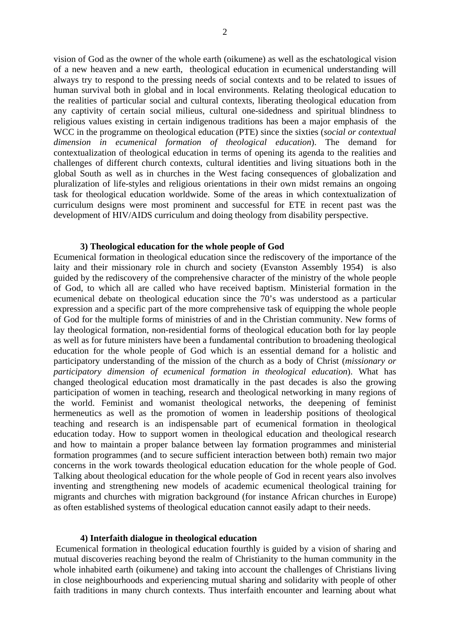vision of God as the owner of the whole earth (oikumene) as well as the eschatological vision of a new heaven and a new earth, theological education in ecumenical understanding will always try to respond to the pressing needs of social contexts and to be related to issues of human survival both in global and in local environments. Relating theological education to the realities of particular social and cultural contexts, liberating theological education from any captivity of certain social milieus, cultural one-sidedness and spiritual blindness to religious values existing in certain indigenous traditions has been a major emphasis of the WCC in the programme on theological education (PTE) since the sixties (*social or contextual dimension in ecumenical formation of theological education*). The demand for contextualization of theological education in terms of opening its agenda to the realities and challenges of different church contexts, cultural identities and living situations both in the global South as well as in churches in the West facing consequences of globalization and pluralization of life-styles and religious orientations in their own midst remains an ongoing task for theological education worldwide. Some of the areas in which contextualization of curriculum designs were most prominent and successful for ETE in recent past was the development of HIV/AIDS curriculum and doing theology from disability perspective.

## **3) Theological education for the whole people of God**

Ecumenical formation in theological education since the rediscovery of the importance of the laity and their missionary role in church and society (Evanston Assembly 1954) is also guided by the rediscovery of the comprehensive character of the ministry of the whole people of God, to which all are called who have received baptism. Ministerial formation in the ecumenical debate on theological education since the 70's was understood as a particular expression and a specific part of the more comprehensive task of equipping the whole people of God for the multiple forms of ministries of and in the Christian community. New forms of lay theological formation, non-residential forms of theological education both for lay people as well as for future ministers have been a fundamental contribution to broadening theological education for the whole people of God which is an essential demand for a holistic and participatory understanding of the mission of the church as a body of Christ (*missionary or participatory dimension of ecumenical formation in theological education*). What has changed theological education most dramatically in the past decades is also the growing participation of women in teaching, research and theological networking in many regions of the world. Feminist and womanist theological networks, the deepening of feminist hermeneutics as well as the promotion of women in leadership positions of theological teaching and research is an indispensable part of ecumenical formation in theological education today. How to support women in theological education and theological research and how to maintain a proper balance between lay formation programmes and ministerial formation programmes (and to secure sufficient interaction between both) remain two major concerns in the work towards theological education education for the whole people of God. Talking about theological education for the whole people of God in recent years also involves inventing and strengthening new models of academic ecumenical theological training for migrants and churches with migration background (for instance African churches in Europe) as often established systems of theological education cannot easily adapt to their needs.

## **4) Interfaith dialogue in theological education**

 Ecumenical formation in theological education fourthly is guided by a vision of sharing and mutual discoveries reaching beyond the realm of Christianity to the human community in the whole inhabited earth (oikumene) and taking into account the challenges of Christians living in close neighbourhoods and experiencing mutual sharing and solidarity with people of other faith traditions in many church contexts. Thus interfaith encounter and learning about what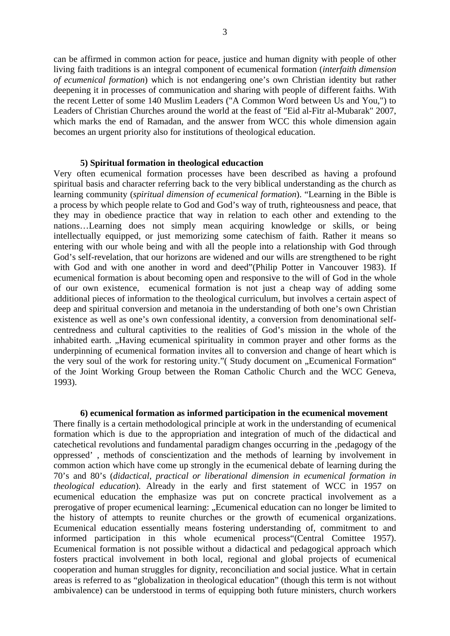can be affirmed in common action for peace, justice and human dignity with people of other living faith traditions is an integral component of ecumenical formation (*interfaith dimension of ecumenical formation*) which is not endangering one's own Christian identity but rather deepening it in processes of communication and sharing with people of different faiths. With the recent Letter of some 140 Muslim Leaders ("A Common Word between Us and You,") to Leaders of Christian Churches around the world at the feast of "Eid al-Fitr al-Mubarak" 2007, which marks the end of Ramadan, and the answer from WCC this whole dimension again becomes an urgent priority also for institutions of theological education.

### **5) Spiritual formation in theological educaction**

Very often ecumenical formation processes have been described as having a profound spiritual basis and character referring back to the very biblical understanding as the church as learning community (*spiritual dimension of ecumenical formation*). "Learning in the Bible is a process by which people relate to God and God's way of truth, righteousness and peace, that they may in obedience practice that way in relation to each other and extending to the nations…Learning does not simply mean acquiring knowledge or skills, or being intellectually equipped, or just memorizing some catechism of faith. Rather it means so entering with our whole being and with all the people into a relationship with God through God's self-revelation, that our horizons are widened and our wills are strengthened to be right with God and with one another in word and deed"(Philip Potter in Vancouver 1983). If ecumenical formation is about becoming open and responsive to the will of God in the whole of our own existence, ecumenical formation is not just a cheap way of adding some additional pieces of information to the theological curriculum, but involves a certain aspect of deep and spiritual conversion and metanoia in the understanding of both one's own Christian existence as well as one's own confessional identity, a conversion from denominational selfcentredness and cultural captivities to the realities of God's mission in the whole of the inhabited earth. "Having ecumenical spirituality in common prayer and other forms as the underpinning of ecumenical formation invites all to conversion and change of heart which is the very soul of the work for restoring unity."(Study document on "Ecumenical Formation" of the Joint Working Group between the Roman Catholic Church and the WCC Geneva, 1993).

#### **6) ecumenical formation as informed participation in the ecumenical movement**

There finally is a certain methodological principle at work in the understanding of ecumenical formation which is due to the appropriation and integration of much of the didactical and cate chetical revolutions and fundamental paradigm changes occurring in the , pedagogy of the oppressed' , methods of conscientization and the methods of learning by involvement in common action which have come up strongly in the ecumenical debate of learning during the 70's and 80's (*didactical, practical or liberational dimension in ecumenical formation in theological education*). Already in the early and first statement of WCC in 1957 on ecumenical education the emphasize was put on concrete practical involvement as a prerogative of proper ecumenical learning: "Ecumenical education can no longer be limited to the history of attempts to reunite churches or the growth of ecumenical organizations. Ecumenical education essentially means fostering understanding of, commitment to and informed participation in this whole ecumenical process"(Central Comittee 1957). Ecumenical formation is not possible without a didactical and pedagogical approach which fosters practical involvement in both local, regional and global projects of ecumenical cooperation and human struggles for dignity, reconciliation and social justice. What in certain areas is referred to as "globalization in theological education" (though this term is not without ambivalence) can be understood in terms of equipping both future ministers, church workers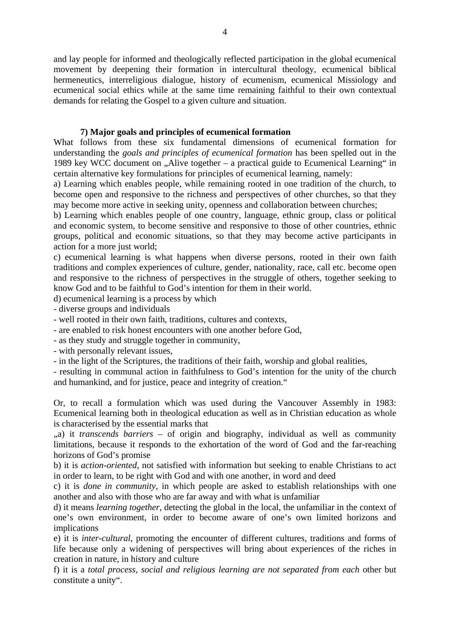and lay people for informed and theologically reflected participation in the global ecumenical movement by deepening their formation in intercultural theology, ecumenical biblical hermeneutics, interreligious dialogue, history of ecumenism, ecumenical Missiology and ecumenical social ethics while at the same time remaining faithful to their own contextual demands for relating the Gospel to a given culture and situation.

# **7) Major goals and principles of ecumenical formation**

What follows from these six fundamental dimensions of ecumenical formation for understanding the *goals and principles of ecumenical formation* has been spelled out in the 1989 key WCC document on  $\mu$ Alive together – a practical guide to Ecumenical Learning" in certain alternative key formulations for principles of ecumenical learning, namely:

a) Learning which enables people, while remaining rooted in one tradition of the church, to become open and responsive to the richness and perspectives of other churches, so that they may become more active in seeking unity, openness and collaboration between churches;

b) Learning which enables people of one country, language, ethnic group, class or political and economic system, to become sensitive and responsive to those of other countries, ethnic groups, political and economic situations, so that they may become active participants in action for a more just world;

c) ecumenical learning is what happens when diverse persons, rooted in their own faith traditions and complex experiences of culture, gender, nationality, race, call etc. become open and responsive to the richness of perspectives in the struggle of others, together seeking to know God and to be faithful to God's intention for them in their world.

d) ecumenical learning is a process by which

- diverse groups and individuals

- well rooted in their own faith, traditions, cultures and contexts,

- are enabled to risk honest encounters with one another before God,

- as they study and struggle together in community,

- with personally relevant issues,

- in the light of the Scriptures, the traditions of their faith, worship and global realities,

- resulting in communal action in faithfulness to God's intention for the unity of the church and humankind, and for justice, peace and integrity of creation."

Or, to recall a formulation which was used during the Vancouver Assembly in 1983: Ecumenical learning both in theological education as well as in Christian education as whole is characterised by the essential marks that

a) it *transcends barriers* – of origin and biography, individual as well as community limitations, because it responds to the exhortation of the word of God and the far-reaching horizons of God's promise

b) it is *action-oriented*, not satisfied with information but seeking to enable Christians to act in order to learn, to be right with God and with one another, in word and deed

c) it is *done in community*, in which people are asked to establish relationships with one another and also with those who are far away and with what is unfamiliar

d) it means *learning together*, detecting the global in the local, the unfamiliar in the context of one's own environment, in order to become aware of one's own limited horizons and implications

e) it is *inter-cultural*, promoting the encounter of different cultures, traditions and forms of life because only a widening of perspectives will bring about experiences of the riches in creation in nature, in history and culture

f) it is a *total process, social and religious learning are not separated from each* other but constitute a unity".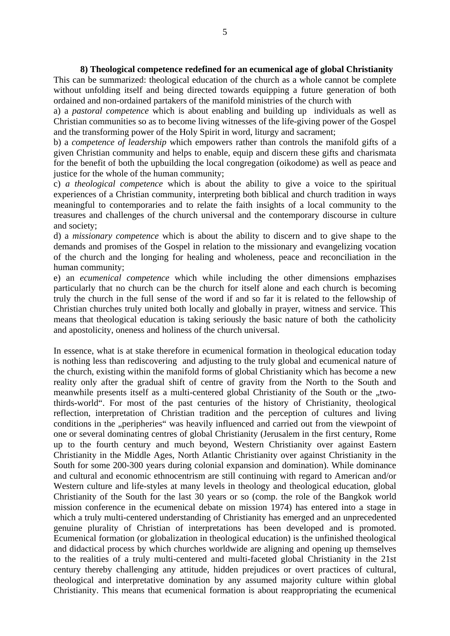**8) Theological competence redefined for an ecumenical age of global Christianity**  This can be summarized: theological education of the church as a whole cannot be complete without unfolding itself and being directed towards equipping a future generation of both ordained and non-ordained partakers of the manifold ministries of the church with

a) a *pastoral competence* which is about enabling and building up individuals as well as Christian communities so as to become living witnesses of the life-giving power of the Gospel and the transforming power of the Holy Spirit in word, liturgy and sacrament;

b) a *competence of leadership* which empowers rather than controls the manifold gifts of a given Christian community and helps to enable, equip and discern these gifts and charismata for the benefit of both the upbuilding the local congregation (oikodome) as well as peace and justice for the whole of the human community;

c) *a theological competence* which is about the ability to give a voice to the spiritual experiences of a Christian community, interpreting both biblical and church tradition in ways meaningful to contemporaries and to relate the faith insights of a local community to the treasures and challenges of the church universal and the contemporary discourse in culture and society;

d) a *missionary competence* which is about the ability to discern and to give shape to the demands and promises of the Gospel in relation to the missionary and evangelizing vocation of the church and the longing for healing and wholeness, peace and reconciliation in the human community;

e) an *ecumenical competence* which while including the other dimensions emphazises particularly that no church can be the church for itself alone and each church is becoming truly the church in the full sense of the word if and so far it is related to the fellowship of Christian churches truly united both locally and globally in prayer, witness and service. This means that theological education is taking seriously the basic nature of both the catholicity and apostolicity, oneness and holiness of the church universal.

In essence, what is at stake therefore in ecumenical formation in theological education today is nothing less than rediscovering and adjusting to the truly global and ecumenical nature of the church, existing within the manifold forms of global Christianity which has become a new reality only after the gradual shift of centre of gravity from the North to the South and meanwhile presents itself as a multi-centered global Christianity of the South or the "twothirds-world". For most of the past centuries of the history of Christianity, theological reflection, interpretation of Christian tradition and the perception of cultures and living conditions in the "peripheries" was heavily influenced and carried out from the viewpoint of one or several dominating centres of global Christianity (Jerusalem in the first century, Rome up to the fourth century and much beyond, Western Christianity over against Eastern Christianity in the Middle Ages, North Atlantic Christianity over against Christianity in the South for some 200-300 years during colonial expansion and domination). While dominance and cultural and economic ethnocentrism are still continuing with regard to American and/or Western culture and life-styles at many levels in theology and theological education, global Christianity of the South for the last 30 years or so (comp. the role of the Bangkok world mission conference in the ecumenical debate on mission 1974) has entered into a stage in which a truly multi-centered understanding of Christianity has emerged and an unprecedented genuine plurality of Christian of interpretations has been developed and is promoted. Ecumenical formation (or globalization in theological education) is the unfinished theological and didactical process by which churches worldwide are aligning and opening up themselves to the realities of a truly multi-centered and multi-faceted global Christianity in the 21st century thereby challenging any attitude, hidden prejudices or overt practices of cultural, theological and interpretative domination by any assumed majority culture within global Christianity. This means that ecumenical formation is about reappropriating the ecumenical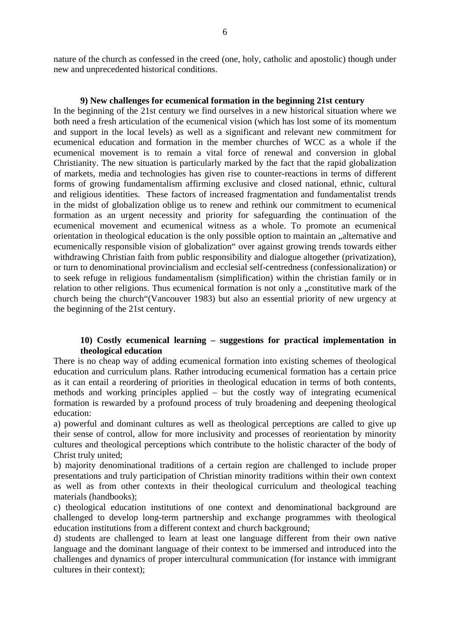nature of the church as confessed in the creed (one, holy, catholic and apostolic) though under new and unprecedented historical conditions.

## **9) New challenges for ecumenical formation in the beginning 21st century**

In the beginning of the 21st century we find ourselves in a new historical situation where we both need a fresh articulation of the ecumenical vision (which has lost some of its momentum and support in the local levels) as well as a significant and relevant new commitment for ecumenical education and formation in the member churches of WCC as a whole if the ecumenical movement is to remain a vital force of renewal and conversion in global Christianity. The new situation is particularly marked by the fact that the rapid globalization of markets, media and technologies has given rise to counter-reactions in terms of different forms of growing fundamentalism affirming exclusive and closed national, ethnic, cultural and religious identities. These factors of increased fragmentation and fundamentalist trends in the midst of globalization oblige us to renew and rethink our commitment to ecumenical formation as an urgent necessity and priority for safeguarding the continuation of the ecumenical movement and ecumenical witness as a whole. To promote an ecumenical orientation in theological education is the only possible option to maintain an "alternative and ecumenically responsible vision of globalization" over against growing trends towards either withdrawing Christian faith from public responsibility and dialogue altogether (privatization), or turn to denominational provincialism and ecclesial self-centredness (confessionalization) or to seek refuge in religious fundamentalism (simplification) within the christian family or in relation to other religions. Thus ecumenical formation is not only a "constitutive mark of the church being the church"(Vancouver 1983) but also an essential priority of new urgency at the beginning of the 21st century.

# **10) Costly ecumenical learning – suggestions for practical implementation in theological education**

There is no cheap way of adding ecumenical formation into existing schemes of theological education and curriculum plans. Rather introducing ecumenical formation has a certain price as it can entail a reordering of priorities in theological education in terms of both contents, methods and working principles applied – but the costly way of integrating ecumenical formation is rewarded by a profound process of truly broadening and deepening theological education:

a) powerful and dominant cultures as well as theological perceptions are called to give up their sense of control, allow for more inclusivity and processes of reorientation by minority cultures and theological perceptions which contribute to the holistic character of the body of Christ truly united;

b) majority denominational traditions of a certain region are challenged to include proper presentations and truly participation of Christian minority traditions within their own context as well as from other contexts in their theological curriculum and theological teaching materials (handbooks);

c) theological education institutions of one context and denominational background are challenged to develop long-term partnership and exchange programmes with theological education institutions from a different context and church background;

d) students are challenged to learn at least one language different from their own native language and the dominant language of their context to be immersed and introduced into the challenges and dynamics of proper intercultural communication (for instance with immigrant cultures in their context);